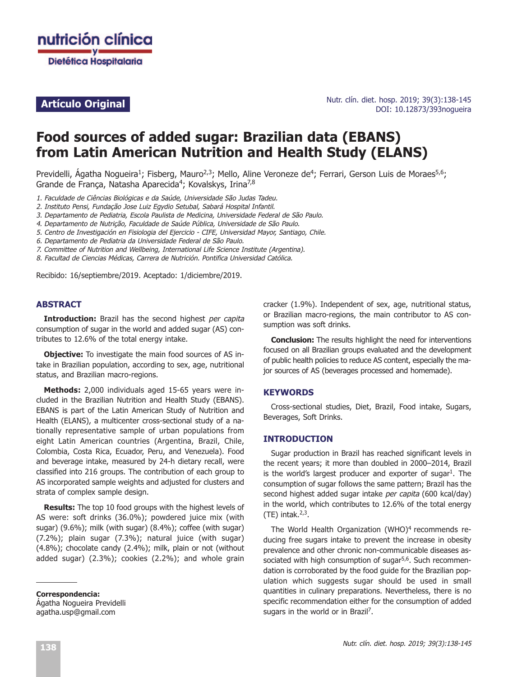

Nutr. clín. diet. hosp. 2019; 39(3):138-145 **Artículo Original Artículo Original Artículo Original Artículo Original Artículo Original Artículo Original Artículo Original Artículo Original Artículo Original Artículo Original Artículo Original A** 

# **Food sources of added sugar: Brazilian data (EBANS) from Latin American Nutrition and Health Study (ELANS)**

Previdelli, Ágatha Nogueira<sup>1</sup>; Fisberg, Mauro<sup>2,3</sup>; Mello, Aline Veroneze de<sup>4</sup>; Ferrari, Gerson Luis de Moraes<sup>5,6</sup>; Grande de França, Natasha Aparecida<sup>4</sup>; Kovalskys, Irina<sup>7,8</sup>

1. Faculdade de Ciências Biológicas e da Saúde, Universidade São Judas Tadeu.

2. Instituto Pensi, Fundação Jose Luiz Egydio Setubal, Sabará Hospital Infantil.

3. Departamento de Pediatria, Escola Paulista de Medicina, Universidade Federal de São Paulo.

- 4. Departamento de Nutrição, Faculdade de Saúde Pública, Universidade de São Paulo.
- 5. Centro de Investigación en Fisiologia del Ejercicio CIFE, Universidad Mayor, Santiago, Chile.
- 6. Departamento de Pediatria da Universidade Federal de São Paulo.
- 7. Committee of Nutrition and Wellbeing, International Life Science Institute (Argentina).

8. Facultad de Ciencias Médicas, Carrera de Nutrición. Pontifica Universidad Católica.

Recibido: 16/septiembre/2019. Aceptado: 1/diciembre/2019.

#### **ABSTRACT**

**Introduction:** Brazil has the second highest per capita consumption of sugar in the world and added sugar (AS) contributes to 12.6% of the total energy intake.

**Objective:** To investigate the main food sources of AS intake in Brazilian population, according to sex, age, nutritional status, and Brazilian macro-regions.

**Methods:** 2,000 individuals aged 15-65 years were included in the Brazilian Nutrition and Health Study (EBANS). EBANS is part of the Latin American Study of Nutrition and Health (ELANS), a multicenter cross-sectional study of a nationally representative sample of urban populations from eight Latin American countries (Argentina, Brazil, Chile, Colombia, Costa Rica, Ecuador, Peru, and Venezuela). Food and beverage intake, measured by 24-h dietary recall, were classified into 216 groups. The contribution of each group to AS incorporated sample weights and adjusted for clusters and strata of complex sample design.

**Results:** The top 10 food groups with the highest levels of AS were: soft drinks (36.0%); powdered juice mix (with sugar) (9.6%); milk (with sugar) (8.4%); coffee (with sugar) (7.2%); plain sugar (7.3%); natural juice (with sugar) (4.8%); chocolate candy (2.4%); milk, plain or not (without added sugar) (2.3%); cookies (2.2%); and whole grain

**Correspondencia:** Ágatha Nogueira Previdelli agatha.usp@gmail.com

cracker (1.9%). Independent of sex, age, nutritional status, or Brazilian macro-regions, the main contributor to AS consumption was soft drinks.

**Conclusion:** The results highlight the need for interventions focused on all Brazilian groups evaluated and the development of public health policies to reduce AS content, especially the major sources of AS (beverages processed and homemade).

#### **KEYWORDS**

Cross-sectional studies, Diet, Brazil, Food intake, Sugars, Beverages, Soft Drinks.

#### **INTRODUCTION**

Sugar production in Brazil has reached significant levels in the recent years; it more than doubled in 2000–2014, Brazil is the world's largest producer and exporter of sugar<sup>1</sup>. The consumption of sugar follows the same pattern; Brazil has the second highest added sugar intake per capita (600 kcal/day) in the world, which contributes to 12.6% of the total energy  $(TE)$  intak.<sup>2,3</sup>.

The World Health Organization (WHO)<sup>4</sup> recommends reducing free sugars intake to prevent the increase in obesity prevalence and other chronic non-communicable diseases associated with high consumption of sugar<sup>5,6</sup>. Such recommendation is corroborated by the food guide for the Brazilian population which suggests sugar should be used in small quantities in culinary preparations. Nevertheless, there is no specific recommendation either for the consumption of added sugars in the world or in Brazil<sup>7</sup>.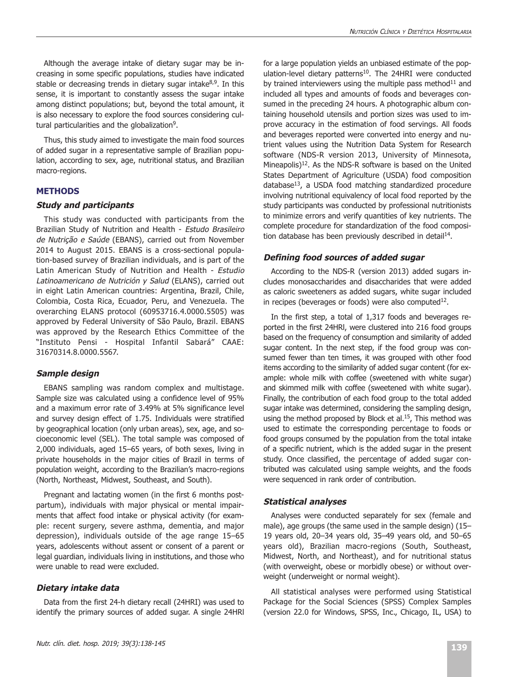Although the average intake of dietary sugar may be increasing in some specific populations, studies have indicated stable or decreasing trends in dietary sugar intake $8,9$ . In this sense, it is important to constantly assess the sugar intake among distinct populations; but, beyond the total amount, it is also necessary to explore the food sources considering cultural particularities and the globalization<sup>9</sup>.

Thus, this study aimed to investigate the main food sources of added sugar in a representative sample of Brazilian population, according to sex, age, nutritional status, and Brazilian macro-regions.

# **METHODS**

#### **Study and participants**

This study was conducted with participants from the Brazilian Study of Nutrition and Health - Estudo Brasileiro de Nutrição e Saúde (EBANS), carried out from November 2014 to August 2015. EBANS is a cross-sectional population-based survey of Brazilian individuals, and is part of the Latin American Study of Nutrition and Health - Estudio Latinoamericano de Nutrición y Salud (ELANS), carried out in eight Latin American countries: Argentina, Brazil, Chile, Colombia, Costa Rica, Ecuador, Peru, and Venezuela. The overarching ELANS protocol (60953716.4.0000.5505) was approved by Federal University of São Paulo, Brazil. EBANS was approved by the Research Ethics Committee of the "Instituto Pensi - Hospital Infantil Sabará" CAAE: 31670314.8.0000.5567.

# **Sample design**

EBANS sampling was random complex and multistage. Sample size was calculated using a confidence level of 95% and a maximum error rate of 3.49% at 5% significance level and survey design effect of 1.75. Individuals were stratified by geographical location (only urban areas), sex, age, and socioeconomic level (SEL). The total sample was composed of 2,000 individuals, aged 15–65 years, of both sexes, living in private households in the major cities of Brazil in terms of population weight, according to the Brazilian's macro-regions (North, Northeast, Midwest, Southeast, and South).

Pregnant and lactating women (in the first 6 months postpartum), individuals with major physical or mental impairments that affect food intake or physical activity (for example: recent surgery, severe asthma, dementia, and major depression), individuals outside of the age range 15–65 years, adolescents without assent or consent of a parent or legal guardian, individuals living in institutions, and those who were unable to read were excluded.

# **Dietary intake data**

Data from the first 24-h dietary recall (24HRI) was used to identify the primary sources of added sugar. A single 24HRl

for a large population yields an unbiased estimate of the population-level dietary patterns<sup>10</sup>. The 24HRI were conducted by trained interviewers using the multiple pass method $11$  and included all types and amounts of foods and beverages consumed in the preceding 24 hours. A photographic album containing household utensils and portion sizes was used to improve accuracy in the estimation of food servings. All foods and beverages reported were converted into energy and nutrient values using the Nutrition Data System for Research software (NDS-R version 2013, University of Minnesota, Mineapolis)<sup>12</sup>. As the NDS-R software is based on the United States Department of Agriculture (USDA) food composition database<sup>13</sup>, a USDA food matching standardized procedure involving nutritional equivalency of local food reported by the study participants was conducted by professional nutritionists to minimize errors and verify quantities of key nutrients. The complete procedure for standardization of the food composition database has been previously described in detail<sup>14</sup>.

# **Defining food sources of added sugar**

According to the NDS-R (version 2013) added sugars includes monosaccharides and disaccharides that were added as caloric sweeteners as added sugars, white sugar included in recipes (beverages or foods) were also computed $12$ .

In the first step, a total of 1,317 foods and beverages reported in the first 24HRl, were clustered into 216 food groups based on the frequency of consumption and similarity of added sugar content. In the next step, if the food group was consumed fewer than ten times, it was grouped with other food items according to the similarity of added sugar content (for example: whole milk with coffee (sweetened with white sugar) and skimmed milk with coffee (sweetened with white sugar). Finally, the contribution of each food group to the total added sugar intake was determined, considering the sampling design, using the method proposed by Block et al.<sup>15</sup>, This method was used to estimate the corresponding percentage to foods or food groups consumed by the population from the total intake of a specific nutrient, which is the added sugar in the present study. Once classified, the percentage of added sugar contributed was calculated using sample weights, and the foods were sequenced in rank order of contribution.

# **Statistical analyses**

Analyses were conducted separately for sex (female and male), age groups (the same used in the sample design) (15– 19 years old, 20–34 years old, 35–49 years old, and 50–65 years old), Brazilian macro-regions (South, Southeast, Midwest, North, and Northeast), and for nutritional status (with overweight, obese or morbidly obese) or without overweight (underweight or normal weight).

All statistical analyses were performed using Statistical Package for the Social Sciences (SPSS) Complex Samples (version 22.0 for Windows, SPSS, Inc., Chicago, IL, USA) to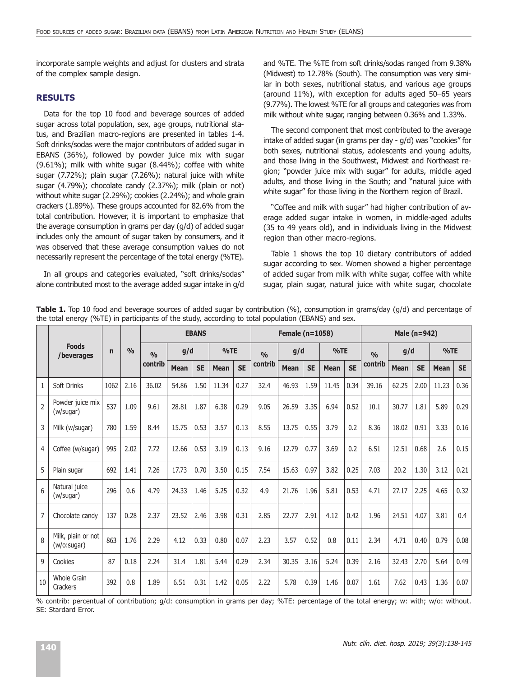incorporate sample weights and adjust for clusters and strata of the complex sample design.

#### **RESULTS**

Data for the top 10 food and beverage sources of added sugar across total population, sex, age groups, nutritional status, and Brazilian macro-regions are presented in tables 1-4. Soft drinks/sodas were the major contributors of added sugar in EBANS (36%), followed by powder juice mix with sugar (9.61%); milk with white sugar (8.44%); coffee with white sugar (7.72%); plain sugar (7.26%); natural juice with white sugar (4.79%); chocolate candy (2.37%); milk (plain or not) without white sugar (2.29%); cookies (2.24%); and whole grain crackers (1.89%). These groups accounted for 82.6% from the total contribution. However, it is important to emphasize that the average consumption in grams per day (g/d) of added sugar includes only the amount of sugar taken by consumers, and it was observed that these average consumption values do not necessarily represent the percentage of the total energy (%TE).

In all groups and categories evaluated, "soft drinks/sodas" alone contributed most to the average added sugar intake in g/d and %TE. The %TE from soft drinks/sodas ranged from 9.38% (Midwest) to 12.78% (South). The consumption was very similar in both sexes, nutritional status, and various age groups (around 11%), with exception for adults aged 50–65 years (9.77%). The lowest %TE for all groups and categories was from milk without white sugar, ranging between 0.36% and 1.33%.

The second component that most contributed to the average intake of added sugar (in grams per day - g/d) was "cookies" for both sexes, nutritional status, adolescents and young adults, and those living in the Southwest, Midwest and Northeast region; "powder juice mix with sugar" for adults, middle aged adults, and those living in the South; and "natural juice with white sugar" for those living in the Northern region of Brazil.

"Coffee and milk with sugar" had higher contribution of average added sugar intake in women, in middle-aged adults (35 to 49 years old), and in individuals living in the Midwest region than other macro-regions.

Table 1 shows the top 10 dietary contributors of added sugar according to sex. Women showed a higher percentage of added sugar from milk with white sugar, coffee with white sugar, plain sugar, natural juice with white sugar, chocolate

|                |                                    |              |               |         |             | <b>EBANS</b> |             |           |         | Female (n=1058) |           |             |           | Male (n=942) |             |           |             |           |
|----------------|------------------------------------|--------------|---------------|---------|-------------|--------------|-------------|-----------|---------|-----------------|-----------|-------------|-----------|--------------|-------------|-----------|-------------|-----------|
|                | <b>Foods</b><br>/beverages         | $\mathsf{n}$ | $\frac{0}{0}$ | O/6     | g/d         |              | %TE         |           | 0/0     | g/d             |           | %TE         |           | O/6          | g/d         |           | %TE         |           |
|                |                                    |              |               | contrib | <b>Mean</b> | <b>SE</b>    | <b>Mean</b> | <b>SE</b> | contrib | <b>Mean</b>     | <b>SE</b> | <b>Mean</b> | <b>SE</b> | contrib      | <b>Mean</b> | <b>SE</b> | <b>Mean</b> | <b>SE</b> |
| $\mathbf{1}$   | Soft Drinks                        | 1062         | 2.16          | 36.02   | 54.86       | 1.50         | 11.34       | 0.27      | 32.4    | 46.93           | 1.59      | 11.45       | 0.34      | 39.16        | 62.25       | 2.00      | 11.23       | 0.36      |
| $\mathfrak{D}$ | Powder juice mix<br>(w/sugar)      | 537          | 1.09          | 9.61    | 28.81       | 1.87         | 6.38        | 0.29      | 9.05    | 26.59           | 3.35      | 6.94        | 0.52      | 10.1         | 30.77       | 1.81      | 5.89        | 0.29      |
| 3              | Milk (w/sugar)                     | 780          | 1.59          | 8.44    | 15.75       | 0.53         | 3.57        | 0.13      | 8.55    | 13.75           | 0.55      | 3.79        | 0.2       | 8.36         | 18.02       | 0.91      | 3.33        | 0.16      |
| 4              | Coffee (w/sugar)                   | 995          | 2.02          | 7.72    | 12.66       | 0.53         | 3.19        | 0.13      | 9.16    | 12.79           | 0.77      | 3.69        | 0.2       | 6.51         | 12.51       | 0.68      | 2.6         | 0.15      |
| 5              | Plain sugar                        | 692          | 1.41          | 7.26    | 17.73       | 0.70         | 3.50        | 0.15      | 7.54    | 15.63           | 0.97      | 3.82        | 0.25      | 7.03         | 20.2        | 1.30      | 3.12        | 0.21      |
| 6              | Natural juice<br>(w/sugar)         | 296          | 0.6           | 4.79    | 24.33       | 1.46         | 5.25        | 0.32      | 4.9     | 21.76           | 1.96      | 5.81        | 0.53      | 4.71         | 27.17       | 2.25      | 4.65        | 0.32      |
| 7              | Chocolate candy                    | 137          | 0.28          | 2.37    | 23.52       | 2.46         | 3.98        | 0.31      | 2.85    | 22.77           | 2.91      | 4.12        | 0.42      | 1.96         | 24.51       | 4.07      | 3.81        | 0.4       |
| $\mathsf{R}$   | Milk, plain or not<br>(w/o: sugar) | 863          | 1.76          | 2.29    | 4.12        | 0.33         | 0.80        | 0.07      | 2.23    | 3.57            | 0.52      | 0.8         | 0.11      | 2.34         | 4.71        | 0.40      | 0.79        | 0.08      |
| 9              | Cookies                            | 87           | 0.18          | 2.24    | 31.4        | 1.81         | 5.44        | 0.29      | 2.34    | 30.35           | 3.16      | 5.24        | 0.39      | 2.16         | 32.43       | 2.70      | 5.64        | 0.49      |
| 10             | Whole Grain<br>Crackers            | 392          | 0.8           | 1.89    | 6.51        | 0.31         | 1.42        | 0.05      | 2.22    | 5.78            | 0.39      | 1.46        | 0.07      | 1.61         | 7.62        | 0.43      | 1.36        | 0.07      |

**Table 1.** Top 10 food and beverage sources of added sugar by contribution (%), consumption in grams/day (g/d) and percentage of the total energy (%TE) in participants of the study, according to total population (EBANS) and sex.

% contrib: percentual of contribution; g/d: consumption in grams per day; %TE: percentage of the total energy; w: with; w/o: without. SE: Stardard Error.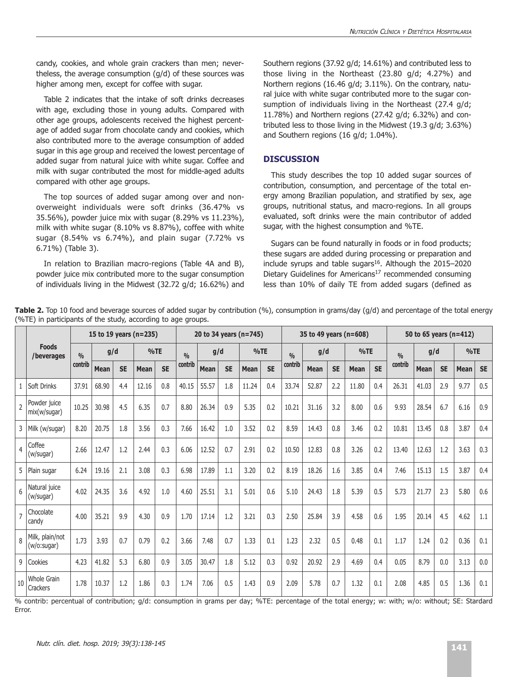candy, cookies, and whole grain crackers than men; nevertheless, the average consumption (g/d) of these sources was higher among men, except for coffee with sugar.

Table 2 indicates that the intake of soft drinks decreases with age, excluding those in young adults. Compared with other age groups, adolescents received the highest percentage of added sugar from chocolate candy and cookies, which also contributed more to the average consumption of added sugar in this age group and received the lowest percentage of added sugar from natural juice with white sugar. Coffee and milk with sugar contributed the most for middle-aged adults compared with other age groups.

The top sources of added sugar among over and nonoverweight individuals were soft drinks (36.47% vs 35.56%), powder juice mix with sugar (8.29% vs 11.23%), milk with white sugar (8.10% vs 8.87%), coffee with white sugar (8.54% vs 6.74%), and plain sugar (7.72% vs 6.71%) (Table 3).

In relation to Brazilian macro-regions (Table 4A and B), powder juice mix contributed more to the sugar consumption of individuals living in the Midwest (32.72 g/d; 16.62%) and Southern regions (37.92 g/d; 14.61%) and contributed less to those living in the Northeast (23.80 g/d; 4.27%) and Northern regions (16.46 g/d; 3.11%). On the contrary, natural juice with white sugar contributed more to the sugar consumption of individuals living in the Northeast (27.4 g/d; 11.78%) and Northern regions (27.42 g/d; 6.32%) and contributed less to those living in the Midwest (19.3 g/d; 3.63%) and Southern regions (16 g/d; 1.04%).

# **DISCUSSION**

This study describes the top 10 added sugar sources of contribution, consumption, and percentage of the total energy among Brazilian population, and stratified by sex, age groups, nutritional status, and macro-regions. In all groups evaluated, soft drinks were the main contributor of added sugar, with the highest consumption and %TE.

Sugars can be found naturally in foods or in food products; these sugars are added during processing or preparation and include syrups and table sugars $16$ . Although the 2015–2020 Dietary Guidelines for Americans<sup>17</sup> recommended consuming less than 10% of daily TE from added sugars (defined as

|                                                              | Table 2. Top 10 food and beverage sources of added sugar by contribution (%), consumption in grams/day (g/d) and percentage of the total energy |
|--------------------------------------------------------------|-------------------------------------------------------------------------------------------------------------------------------------------------|
| (%TE) in participants of the study, according to age groups. |                                                                                                                                                 |

|                |                                 | 15 to 19 years (n=235) |             |           |             |           | 20 to 34 years (n=745) |             |           |             |           |         |             |           | 35 to 49 years (n=608) | 50 to 65 years (n=412) |         |       |           |             |           |
|----------------|---------------------------------|------------------------|-------------|-----------|-------------|-----------|------------------------|-------------|-----------|-------------|-----------|---------|-------------|-----------|------------------------|------------------------|---------|-------|-----------|-------------|-----------|
|                | <b>Foods</b><br>/beverages      | 0/0                    | g/d         |           |             | %TE       |                        |             | g/d       |             | %TE       |         |             | g/d       |                        | %TE                    | 0/0     | g/d   |           | %TE         |           |
|                |                                 | contrib                | <b>Mean</b> | <b>SE</b> | <b>Mean</b> | <b>SE</b> | contrib                | <b>Mean</b> | <b>SE</b> | <b>Mean</b> | <b>SE</b> | contrib | <b>Mean</b> | <b>SE</b> | <b>Mean</b>            | <b>SE</b>              | contrib | Mean  | <b>SE</b> | <b>Mean</b> | <b>SE</b> |
|                | Soft Drinks                     | 37.91                  | 68.90       | 4.4       | 12.16       | 0.8       | 40.15                  | 55.57       | 1.8       | 11.24       | 0.4       | 33.74   | 52.87       | 2.2       | 11.80                  | 0.4                    | 26.31   | 41.03 | 2.9       | 9.77        | 0.5       |
| $\mathfrak{p}$ | Powder juice<br>mix(w/sugar)    | 10.25                  | 30.98       | 4.5       | 6.35        | 0.7       | 8.80                   | 26.34       | 0.9       | 5.35        | 0.2       | 10.21   | 31.16       | 3.2       | 8.00                   | 0.6                    | 9.93    | 28.54 | 6.7       | 6.16        | 0.9       |
| 3              | Milk (w/sugar)                  | 8.20                   | 20.75       | 1.8       | 3.56        | 0.3       | 7.66                   | 16.42       | 1.0       | 3.52        | 0.2       | 8.59    | 14.43       | 0.8       | 3.46                   | 0.2                    | 10.81   | 13.45 | 0.8       | 3.87        | 0.4       |
| 4              | Coffee<br>(w/sugar)             | 2.66                   | 12.47       | 1.2       | 2.44        | 0.3       | 6.06                   | 12.52       | 0.7       | 2.91        | 0.2       | 10.50   | 12.83       | 0.8       | 3.26                   | 0.2                    | 13.40   | 12.63 | 1.2       | 3.63        | 0.3       |
| 5              | Plain sugar                     | 6.24                   | 19.16       | 2.1       | 3.08        | 0.3       | 6.98                   | 17.89       | 1.1       | 3.20        | 0.2       | 8.19    | 18.26       | 1.6       | 3.85                   | 0.4                    | 7.46    | 15.13 | 1.5       | 3.87        | 0.4       |
| 6              | Natural juice<br>(w/sugar)      | 4.02                   | 24.35       | 3.6       | 4.92        | 1.0       | 4.60                   | 25.51       | 3.1       | 5.01        | 0.6       | 5.10    | 24.43       | 1.8       | 5.39                   | 0.5                    | 5.73    | 21.77 | 2.3       | 5.80        | 0.6       |
| $\overline{7}$ | Chocolate<br>candy              | 4.00                   | 35.21       | 9.9       | 4.30        | 0.9       | 1.70                   | 17.14       | 1.2       | 3.21        | 0.3       | 2.50    | 25.84       | 3.9       | 4.58                   | 0.6                    | 1.95    | 20.14 | 4.5       | 4.62        | 1.1       |
| $\mathsf{R}$   | Milk, plain/not<br>(w/o: sugar) | 1.73                   | 3.93        | 0.7       | 0.79        | 0.2       | 3.66                   | 7.48        | 0.7       | 1.33        | 0.1       | 1.23    | 2.32        | 0.5       | 0.48                   | 0.1                    | 1.17    | 1.24  | 0.2       | 0.36        | 0.1       |
|                | 9<br>Cookies                    | 4.23                   | 41.82       | 5.3       | 6.80        | 0.9       | 3.05                   | 30.47       | 1.8       | 5.12        | 0.3       | 0.92    | 20.92       | 2.9       | 4.69                   | 0.4                    | 0.05    | 8.79  | 0.0       | 3.13        | 0.0       |
| 10             | Whole Grain<br>Crackers         | 1.78                   | 10.37       | 1.2       | 1.86        | 0.3       | 1.74                   | 7.06        | 0.5       | 1.43        | 0.9       | 2.09    | 5.78        | 0.7       | 1.32                   | 0.1                    | 2.08    | 4.85  | 0.5       | 1.36        | 0.1       |

% contrib: percentual of contribution; g/d: consumption in grams per day; %TE: percentage of the total energy; w: with; w/o: without; SE: Stardard Error.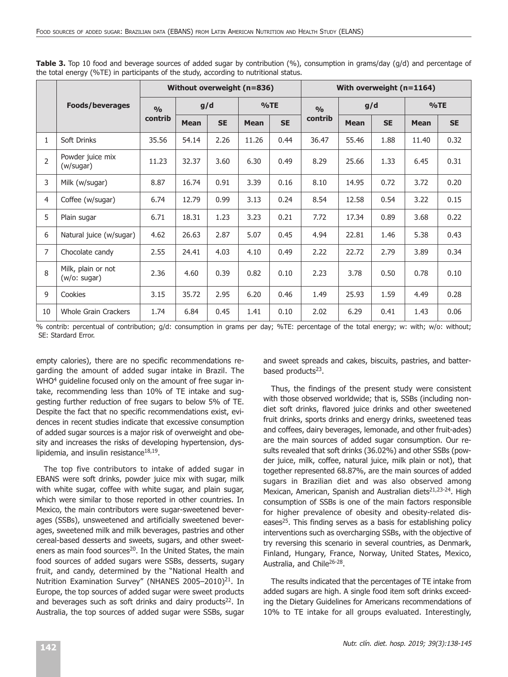|                |                                    |                |             |           | Without overweight (n=836) |           | With overweight (n=1164) |             |           |             |           |  |  |
|----------------|------------------------------------|----------------|-------------|-----------|----------------------------|-----------|--------------------------|-------------|-----------|-------------|-----------|--|--|
|                | <b>Foods/beverages</b>             | O <sub>0</sub> | g/d         |           |                            | %TE       | O/O                      | g/d         |           | %TE         |           |  |  |
|                |                                    | contrib        | <b>Mean</b> | <b>SE</b> | <b>Mean</b>                | <b>SE</b> | contrib                  | <b>Mean</b> | <b>SE</b> | <b>Mean</b> | <b>SE</b> |  |  |
| $\mathbf{1}$   | Soft Drinks                        | 35.56          | 54.14       | 2.26      | 11.26                      | 0.44      | 36.47                    | 55.46       | 1.88      | 11.40       | 0.32      |  |  |
| $\overline{2}$ | Powder juice mix<br>(w/sugar)      | 11.23          | 32.37       | 3.60      | 6.30                       | 0.49      | 8.29                     | 25.66       | 1.33      | 6.45        | 0.31      |  |  |
| 3              | Milk (w/sugar)                     | 8.87           | 16.74       | 0.91      | 3.39                       | 0.16      | 8.10                     | 14.95       | 0.72      | 3.72        | 0.20      |  |  |
| 4              | Coffee (w/sugar)                   | 6.74           | 12.79       | 0.99      | 3.13                       | 0.24      | 8.54                     | 12.58       | 0.54      | 3.22        | 0.15      |  |  |
| 5              | Plain sugar                        | 6.71           | 18.31       | 1.23      | 3.23                       | 0.21      | 7.72                     | 17.34       | 0.89      | 3.68        | 0.22      |  |  |
| 6              | Natural juice (w/sugar)            | 4.62           | 26.63       | 2.87      | 5.07                       | 0.45      | 4.94                     | 22.81       | 1.46      | 5.38        | 0.43      |  |  |
| $\overline{7}$ | Chocolate candy                    | 2.55           | 24.41       | 4.03      | 4.10                       | 0.49      | 2.22                     | 22.72       | 2.79      | 3.89        | 0.34      |  |  |
| 8              | Milk, plain or not<br>(w/o: sugar) | 2.36           | 4.60        | 0.39      | 0.82                       | 0.10      | 2.23                     | 3.78        | 0.50      | 0.78        | 0.10      |  |  |
| 9              | Cookies                            | 3.15           | 35.72       | 2.95      | 6.20                       | 0.46      | 1.49                     | 25.93       | 1.59      | 4.49        | 0.28      |  |  |
| 10             | <b>Whole Grain Crackers</b>        | 1.74           | 6.84        | 0.45      | 1.41                       | 0.10      | 2.02                     | 6.29        | 0.41      | 1.43        | 0.06      |  |  |

**Table 3.** Top 10 food and beverage sources of added sugar by contribution (%), consumption in grams/day (g/d) and percentage of the total energy (%TE) in participants of the study, according to nutritional status.

% contrib: percentual of contribution; g/d: consumption in grams per day; %TE: percentage of the total energy; w: with; w/o: without; SE: Stardard Error.

empty calories), there are no specific recommendations regarding the amount of added sugar intake in Brazil. The WHO<sup>4</sup> guideline focused only on the amount of free sugar intake, recommending less than 10% of TE intake and suggesting further reduction of free sugars to below 5% of TE. Despite the fact that no specific recommendations exist, evidences in recent studies indicate that excessive consumption of added sugar sources is a major risk of overweight and obesity and increases the risks of developing hypertension, dyslipidemia, and insulin resistance $18,19$ .

The top five contributors to intake of added sugar in EBANS were soft drinks, powder juice mix with sugar, milk with white sugar, coffee with white sugar, and plain sugar, which were similar to those reported in other countries. In Mexico, the main contributors were sugar-sweetened beverages (SSBs), unsweetened and artificially sweetened beverages, sweetened milk and milk beverages, pastries and other cereal-based desserts and sweets, sugars, and other sweeteners as main food sources<sup>20</sup>. In the United States, the main food sources of added sugars were SSBs, desserts, sugary fruit, and candy, determined by the "National Health and Nutrition Examination Survey" (NHANES 2005-2010)<sup>21</sup>. In Europe, the top sources of added sugar were sweet products and beverages such as soft drinks and dairy products<sup>22</sup>. In Australia, the top sources of added sugar were SSBs, sugar

and sweet spreads and cakes, biscuits, pastries, and batterbased products $23$ .

Thus, the findings of the present study were consistent with those observed worldwide; that is, SSBs (including nondiet soft drinks, flavored juice drinks and other sweetened fruit drinks, sports drinks and energy drinks, sweetened teas and coffees, dairy beverages, lemonade, and other fruit-ades) are the main sources of added sugar consumption. Our results revealed that soft drinks (36.02%) and other SSBs (powder juice, milk, coffee, natural juice, milk plain or not), that together represented 68.87%, are the main sources of added sugars in Brazilian diet and was also observed among Mexican, American, Spanish and Australian diets<sup>21,23-24</sup>. High consumption of SSBs is one of the main factors responsible for higher prevalence of obesity and obesity-related diseases<sup>25</sup>. This finding serves as a basis for establishing policy interventions such as overcharging SSBs, with the objective of try reversing this scenario in several countries, as Denmark, Finland, Hungary, France, Norway, United States, Mexico, Australia, and Chile26-28.

The results indicated that the percentages of TE intake from added sugars are high. A single food item soft drinks exceeding the Dietary Guidelines for Americans recommendations of 10% to TE intake for all groups evaluated. Interestingly,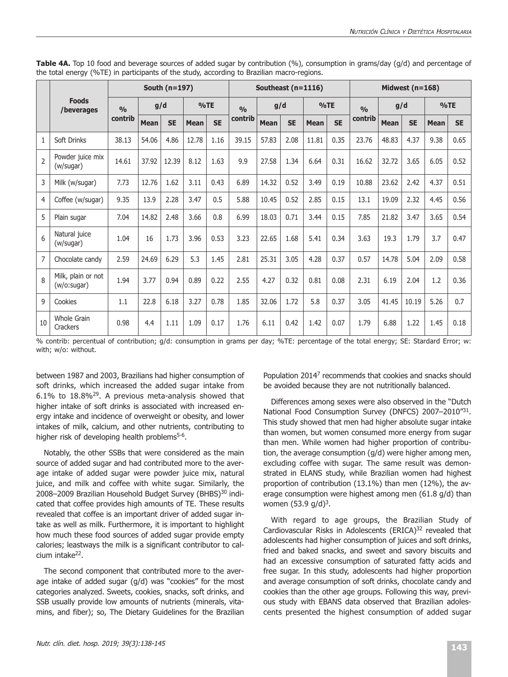|                 |                                   |         |             | South (n=197) |             |           |                | Southeast (n=1116) |           |             |           | Midwest $(n=168)$ |             |           |             |           |  |
|-----------------|-----------------------------------|---------|-------------|---------------|-------------|-----------|----------------|--------------------|-----------|-------------|-----------|-------------------|-------------|-----------|-------------|-----------|--|
|                 | <b>Foods</b><br>/beverages        | 0/0     | g/d         |               | %TE         |           | O <sub>0</sub> | g/d                |           | %TE         |           | O/2               | g/d         |           |             | %TE       |  |
|                 |                                   | contrib | <b>Mean</b> | <b>SE</b>     | <b>Mean</b> | <b>SE</b> | contrib        | Mean               | <b>SE</b> | <b>Mean</b> | <b>SE</b> | contrib           | <b>Mean</b> | <b>SE</b> | <b>Mean</b> | <b>SE</b> |  |
| $\mathbf{1}$    | Soft Drinks                       | 38.13   | 54.06       | 4.86          | 12.78       | 1.16      | 39.15          | 57.83              | 2.08      | 11.81       | 0.35      | 23.76             | 48.83       | 4.37      | 9.38        | 0.65      |  |
| $\overline{2}$  | Powder juice mix<br>(w/sugar)     | 14.61   | 37.92       | 12.39         | 8.12        | 1.63      | 9.9            | 27.58              | 1.34      | 6.64        | 0.31      | 16.62             | 32.72       | 3.65      | 6.05        | 0.52      |  |
| 3               | Milk (w/sugar)                    | 7.73    | 12.76       | 1.62          | 3.11        | 0.43      | 6.89           | 14.32              | 0.52      | 3.49        | 0.19      | 10.88             | 23.62       | 2.42      | 4.37        | 0.51      |  |
| 4               | Coffee (w/sugar)                  | 9.35    | 13.9        | 2.28          | 3.47        | 0.5       | 5.88           | 10.45              | 0.52      | 2.85        | 0.15      | 13.1              | 19.09       | 2.32      | 4.45        | 0.56      |  |
| 5               | Plain sugar                       | 7.04    | 14.82       | 2.48          | 3.66        | 0.8       | 6.99           | 18.03              | 0.71      | 3.44        | 0.15      | 7.85              | 21.82       | 3.47      | 3.65        | 0.54      |  |
| $6\overline{6}$ | Natural juice<br>(w/sugar)        | 1.04    | 16          | 1.73          | 3.96        | 0.53      | 3.23           | 22.65              | 1.68      | 5.41        | 0.34      | 3.63              | 19.3        | 1.79      | 3.7         | 0.47      |  |
| 7               | Chocolate candy                   | 2.59    | 24.69       | 6.29          | 5.3         | 1.45      | 2.81           | 25.31              | 3.05      | 4.28        | 0.37      | 0.57              | 14.78       | 5.04      | 2.09        | 0.58      |  |
| 8               | Milk, plain or not<br>(w/o:sugar) | 1.94    | 3.77        | 0.94          | 0.89        | 0.22      | 2.55           | 4.27               | 0.32      | 0.81        | 0.08      | 2.31              | 6.19        | 2.04      | 1.2         | 0.36      |  |
| 9               | Cookies                           | 1.1     | 22.8        | 6.18          | 3.27        | 0.78      | 1.85           | 32.06              | 1.72      | 5.8         | 0.37      | 3.05              | 41.45       | 10.19     | 5.26        | 0.7       |  |
| 10              | <b>Whole Grain</b><br>Crackers    | 0.98    | 4.4         | 1.11          | 1.09        | 0.17      | 1.76           | 6.11               | 0.42      | 1.42        | 0.07      | 1.79              | 6.88        | 1.22      | 1.45        | 0.18      |  |

**Table 4A.** Top 10 food and beverage sources of added sugar by contribution (%), consumption in grams/day (g/d) and percentage of the total energy (%TE) in participants of the study, according to Brazilian macro-regions.

% contrib: percentual of contribution; g/d: consumption in grams per day; %TE: percentage of the total energy; SE: Stardard Error; w: with; w/o: without.

between 1987 and 2003, Brazilians had higher consumption of soft drinks, which increased the added sugar intake from 6.1% to 18.8%29. A previous meta-analysis showed that higher intake of soft drinks is associated with increased energy intake and incidence of overweight or obesity, and lower intakes of milk, calcium, and other nutrients, contributing to higher risk of developing health problems<sup>5-6</sup>.

Notably, the other SSBs that were considered as the main source of added sugar and had contributed more to the average intake of added sugar were powder juice mix, natural juice, and milk and coffee with white sugar. Similarly, the 2008–2009 Brazilian Household Budget Survey (BHBS)<sup>30</sup> indicated that coffee provides high amounts of TE. These results revealed that coffee is an important driver of added sugar intake as well as milk. Furthermore, it is important to highlight how much these food sources of added sugar provide empty calories; leastways the milk is a significant contributor to calcium intake22.

The second component that contributed more to the average intake of added sugar (g/d) was "cookies" for the most categories analyzed. Sweets, cookies, snacks, soft drinks, and SSB usually provide low amounts of nutrients (minerals, vitamins, and fiber); so, The Dietary Guidelines for the Brazilian

Population 20147 recommends that cookies and snacks should be avoided because they are not nutritionally balanced.

Differences among sexes were also observed in the "Dutch National Food Consumption Survey (DNFCS) 2007–2010"31. This study showed that men had higher absolute sugar intake than women, but women consumed more energy from sugar than men. While women had higher proportion of contribution, the average consumption (g/d) were higher among men, excluding coffee with sugar. The same result was demonstrated in ELANS study, while Brazilian women had highest proportion of contribution (13.1%) than men (12%), the average consumption were highest among men (61.8 g/d) than women (53.9 g/d)<sup>3</sup>.

With regard to age groups, the Brazilian Study of Cardiovascular Risks in Adolescents (ERICA)<sup>32</sup> revealed that adolescents had higher consumption of juices and soft drinks, fried and baked snacks, and sweet and savory biscuits and had an excessive consumption of saturated fatty acids and free sugar. In this study, adolescents had higher proportion and average consumption of soft drinks, chocolate candy and cookies than the other age groups. Following this way, previous study with EBANS data observed that Brazilian adolescents presented the highest consumption of added sugar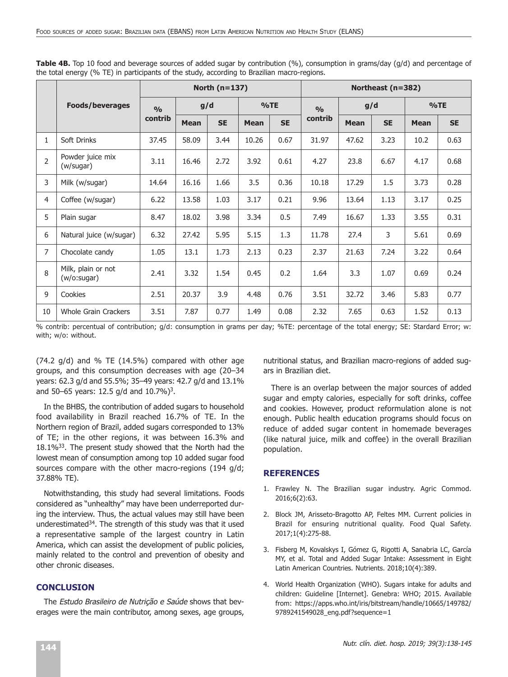|                |                                    |               |                          | North $(n=137)$ |             |           | Northeast (n=382) |             |           |             |           |  |  |
|----------------|------------------------------------|---------------|--------------------------|-----------------|-------------|-----------|-------------------|-------------|-----------|-------------|-----------|--|--|
|                | <b>Foods/beverages</b>             | $\frac{0}{0}$ |                          | g/d             |             | %TE       | $\frac{0}{0}$     |             | g/d       | %TE         |           |  |  |
|                |                                    | contrib       | <b>SE</b><br><b>Mean</b> |                 | <b>Mean</b> | <b>SE</b> | contrib           | <b>Mean</b> | <b>SE</b> | <b>Mean</b> | <b>SE</b> |  |  |
| $\mathbf{1}$   | Soft Drinks                        | 37.45         | 58.09                    | 3.44            | 10.26       | 0.67      | 31.97             | 47.62       | 3.23      | 10.2        | 0.63      |  |  |
| $\overline{2}$ | Powder juice mix<br>(w/sugar)      | 3.11          | 16.46                    | 2.72            | 3.92        | 0.61      | 4.27              | 23.8        | 6.67      | 4.17        | 0.68      |  |  |
| 3              | Milk (w/sugar)                     | 14.64         | 16.16                    | 1.66            | 3.5         | 0.36      | 10.18             | 17.29       | 1.5       | 3.73        | 0.28      |  |  |
| $\overline{4}$ | Coffee (w/sugar)                   | 6.22          | 13.58                    | 1.03            | 3.17        | 0.21      | 9.96              | 13.64       | 1.13      | 3.17        | 0.25      |  |  |
| 5              | Plain sugar                        | 8.47          | 18.02                    | 3.98            | 3.34        | 0.5       | 7.49              | 16.67       | 1.33      | 3.55        | 0.31      |  |  |
| 6              | Natural juice (w/sugar)            | 6.32          | 27.42                    | 5.95            | 5.15        | 1.3       | 11.78             | 27.4        | 3         | 5.61        | 0.69      |  |  |
| $\overline{7}$ | Chocolate candy                    | 1.05          | 13.1                     | 1.73            | 2.13        | 0.23      | 2.37              | 21.63       | 7.24      | 3.22        | 0.64      |  |  |
| 8              | Milk, plain or not<br>(w/o: sugar) | 2.41          | 3.32                     | 1.54            | 0.45        | 0.2       | 1.64              | 3.3         | 1.07      | 0.69        | 0.24      |  |  |
| 9              | Cookies                            | 2.51          | 20.37                    | 3.9             | 4.48        | 0.76      | 3.51              | 32.72       | 3.46      | 5.83        | 0.77      |  |  |
| 10             | Whole Grain Crackers               | 3.51          | 7.87                     | 0.77            | 1.49        | 0.08      | 2.32              | 7.65        | 0.63      | 1.52        | 0.13      |  |  |

**Table 4B.** Top 10 food and beverage sources of added sugar by contribution (%), consumption in grams/day (g/d) and percentage of the total energy (% TE) in participants of the study, according to Brazilian macro-regions.

% contrib: percentual of contribution; g/d: consumption in grams per day; %TE: percentage of the total energy; SE: Stardard Error; w: with; w/o: without.

 $(74.2 \text{ q/d})$  and % TE  $(14.5\%)$  compared with other age groups, and this consumption decreases with age (20–34 years: 62.3 g/d and 55.5%; 35–49 years: 42.7 g/d and 13.1% and 50–65 years: 12.5 g/d and  $10.7\%$ )<sup>3</sup>.

In the BHBS, the contribution of added sugars to household food availability in Brazil reached 16.7% of TE. In the Northern region of Brazil, added sugars corresponded to 13% of TE; in the other regions, it was between 16.3% and 18.1%33. The present study showed that the North had the lowest mean of consumption among top 10 added sugar food sources compare with the other macro-regions (194 g/d; 37.88% TE).

Notwithstanding, this study had several limitations. Foods considered as "unhealthy" may have been underreported during the interview. Thus, the actual values may still have been underestimated<sup>34</sup>. The strength of this study was that it used a representative sample of the largest country in Latin America, which can assist the development of public policies, mainly related to the control and prevention of obesity and other chronic diseases.

# **CONCLUSION**

The Estudo Brasileiro de Nutrição e Saúde shows that beverages were the main contributor, among sexes, age groups, nutritional status, and Brazilian macro-regions of added sugars in Brazilian diet.

There is an overlap between the major sources of added sugar and empty calories, especially for soft drinks, coffee and cookies. However, product reformulation alone is not enough. Public health education programs should focus on reduce of added sugar content in homemade beverages (like natural juice, milk and coffee) in the overall Brazilian population.

#### **REFERENCES**

- 1. Frawley N. The Brazilian sugar industry. Agric Commod. 2016;6(2):63.
- 2. Block JM, Arisseto-Bragotto AP, Feltes MM. Current policies in Brazil for ensuring nutritional quality. Food Qual Safety. 2017;1(4):275-88.
- 3. Fisberg M, Kovalskys I, Gómez G, Rigotti A, Sanabria LC, García MY, et al. Total and Added Sugar Intake: Assessment in Eight Latin American Countries. Nutrients. 2018;10(4):389.
- 4. World Health Organization (WHO). Sugars intake for adults and children: Guideline [Internet]. Genebra: WHO; 2015. Available from: https://apps.who.int/iris/bitstream/handle/10665/149782/ 9789241549028\_eng.pdf?sequence=1